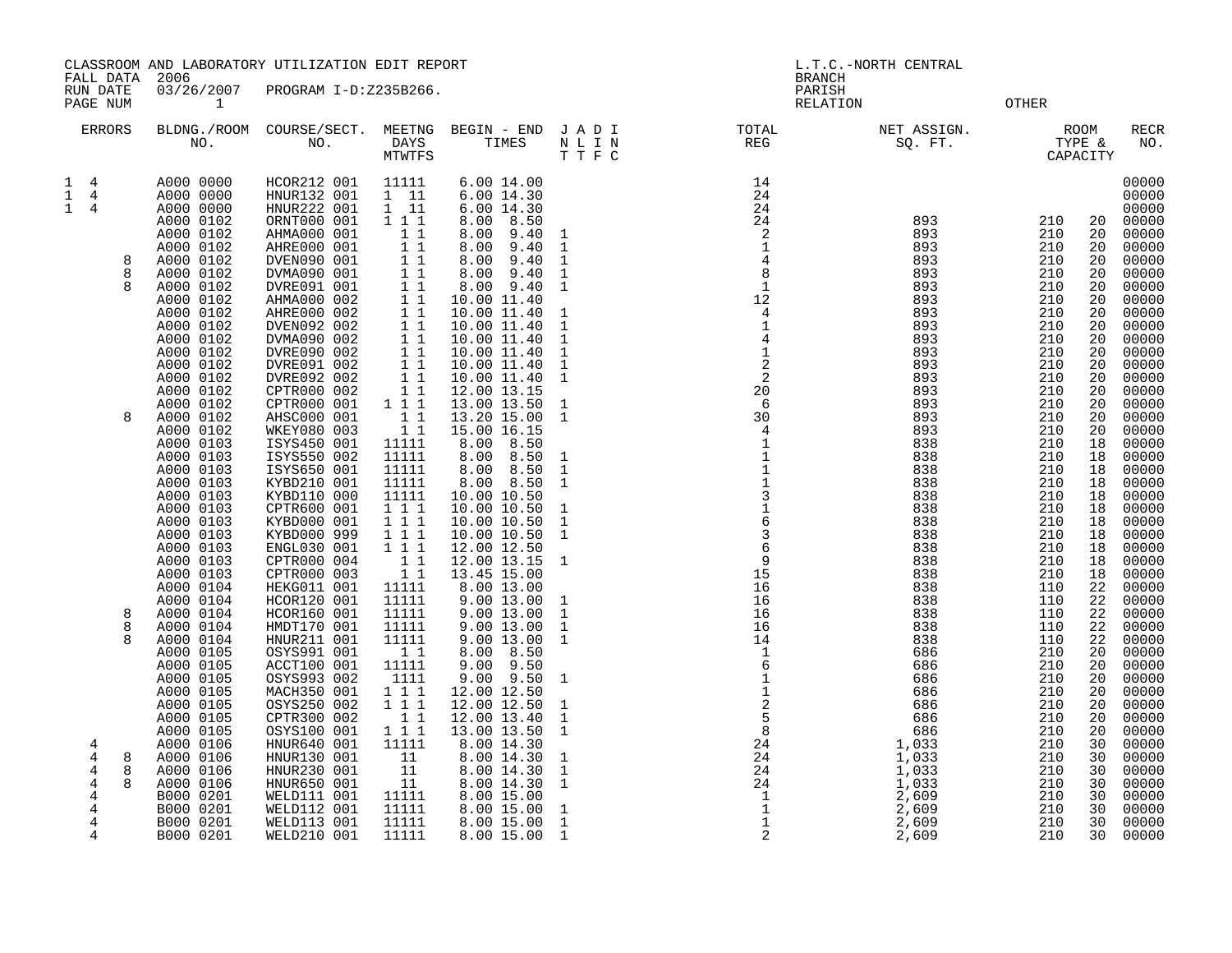CLASSROOM AND LABORATORY UTILIZATION EDIT REPORT AND REPORT AND L.T.C.-NORTH CENTRAL FALL DATA 2006 BRANCH

RUN DATE 03/26/2007 PROGRAM I-D:Z235B266.<br>PAGE NUM 1 PAGE NUM  $1$  OTHER

|                                  | <b>ERRORS</b>                        |             | BLDNG./ROOM<br>NO.                                                                                                                                       | COURSE/SECT.<br>NO.                                                                                                                                                              | MEETNG<br>DAYS<br>MTWTFS                                                                              | BEGIN - END<br>TIMES                                                                                                                                                       | JADI<br>$\hbox{N}$ L I $\hbox{N}$<br>TTFC                                                                         | TOTAL<br>REG                                                                                                                                             | NET ASSIGN.<br>SQ. FT.                                                                                     | TYPE &                                                                           | <b>ROOM</b><br>CAPACITY                                              | RECR<br>NO.                                                                                              |
|----------------------------------|--------------------------------------|-------------|----------------------------------------------------------------------------------------------------------------------------------------------------------|----------------------------------------------------------------------------------------------------------------------------------------------------------------------------------|-------------------------------------------------------------------------------------------------------|----------------------------------------------------------------------------------------------------------------------------------------------------------------------------|-------------------------------------------------------------------------------------------------------------------|----------------------------------------------------------------------------------------------------------------------------------------------------------|------------------------------------------------------------------------------------------------------------|----------------------------------------------------------------------------------|----------------------------------------------------------------------|----------------------------------------------------------------------------------------------------------|
| 1<br>$\mathbf 1$<br>$\mathbf{1}$ | $\overline{4}$<br>4<br>4             | 8<br>8      | A000 0000<br>A000 0000<br>A000 0000<br>A000 0102<br>A000 0102<br>A000 0102<br>A000 0102<br>A000 0102                                                     | HCOR212 001<br>HNUR132 001<br>HNUR222 001<br>ORNT000 001<br>AHMA000 001<br>AHRE000 001<br>DVEN090 001<br>DVMA090 001                                                             | 11111<br>$1\quad 11$<br>$1 \quad 11$<br>1 1 1<br>$1\quad1$<br>11<br>11<br>$1\quad1$                   | 6.00 14.00<br>6.00 14.30<br>6.00 14.30<br>8.50<br>8.00<br>8.00<br>9.40<br>9.40<br>8.00<br>8.00<br>9.40<br>8.00<br>9.40                                                     | $\overline{1}$<br>$\mathbf{1}$<br><sup>1</sup><br>$\mathbf{1}$                                                    | 14<br>24<br>24<br>24<br>$\overline{\phantom{a}}$<br>$\begin{array}{c} \bar{1} \\ 4 \\ 8 \end{array}$                                                     | 893<br>893<br>893<br>893<br>893                                                                            | 210<br>210<br>210<br>210<br>210                                                  | 20<br>20<br>20<br>20<br>20                                           | 00000<br>00000<br>00000<br>00000<br>00000<br>00000<br>00000<br>00000                                     |
|                                  |                                      |             | A000 0102<br>A000 0102<br>A000 0102<br>A000 0102<br>A000 0102<br>A000 0102<br>A000 0102<br>A000 0102<br>A000 0102<br>A000 0102                           | DVRE091 001<br>AHMA000 002<br>AHRE000 002<br>DVEN092 002<br>DVMA090 002<br>DVRE090 002<br>DVRE091 002<br>DVRE092 002<br>CPTR000 002<br>CPTR000 001                               | 11<br>$1\quad1$<br>11<br>$1\quad1$<br>$1\quad1$<br>11<br>1 1<br>11<br>11<br>111                       | 9.40<br>8.00<br>10.00 11.40<br>10.00 11.40<br>10.00 11.40<br>10.00 11.40<br>10.00 11.40<br>10.00 11.40<br>10.00 11.40<br>12.00 13.15<br>13.00 13.50                        | $\mathbf{1}$<br>1<br>$\mathbf{1}$<br>$\mathbf{1}$<br>$\mathbf{1}$<br>$\mathbf{1}$<br>$\mathbf{1}$<br>$\mathbf{1}$ | $\mathbf{1}$<br>12<br>$\overline{4}$<br>$\begin{array}{c}\n1 \\ 4 \\ 1 \\ 2 \\ 2\n\end{array}$<br>20<br>$6\overline{6}$                                  | 893<br>893<br>893<br>893<br>893<br>893<br>893<br>893<br>893<br>893                                         | 210<br>210<br>210<br>210<br>210<br>210<br>210<br>210<br>210<br>210               | 20<br>20<br>20<br>20<br>20<br>20<br>20<br>20<br>20<br>20             | 00000<br>00000<br>00000<br>00000<br>00000<br>00000<br>00000<br>00000<br>00000<br>00000                   |
|                                  |                                      | 8           | A000 0102<br>A000 0102<br>A000 0103<br>A000 0103<br>A000 0103<br>A000 0103<br>A000 0103<br>A000 0103<br>A000 0103<br>A000 0103<br>A000 0103              | AHSC000 001<br>WKEY080 003<br>ISYS450 001<br>ISYS550 002<br>ISYS650 001<br>KYBD210 001<br>KYBD110 000<br>CPTR600 001<br>KYBD000 001<br>KYBD000 999<br>ENGL030 001                | 11<br>11<br>11111<br>11111<br>11111<br>11111<br>11111<br>111<br>$1 1 1$<br>111<br>$1 \quad 1 \quad 1$ | 13.20 15.00<br>15.00 16.15<br>8.50<br>8.00<br>8.00<br>8.50<br>8.50<br>8.00<br>8.00<br>8.50<br>10.00 10.50<br>10.00 10.50<br>10.00 10.50<br>10.00 10.50<br>12.00 12.50      | <sup>1</sup><br>$\mathbf{1}$<br>$\mathbf{1}$<br>1<br>1<br><sup>1</sup><br><sup>1</sup>                            | 30<br>$\overline{4}$<br>$\begin{bmatrix} 1 \\ 1 \\ 1 \\ 1 \end{bmatrix}$<br>3<br>1<br>6<br>3<br>6<br>6                                                   | 893<br>893<br>838<br>838<br>838<br>838<br>838<br>838<br>838<br>838<br>838                                  | 210<br>210<br>210<br>210<br>210<br>210<br>210<br>210<br>210<br>210<br>210        | 20<br>20<br>18<br>18<br>18<br>18<br>18<br>18<br>18<br>18<br>18       | 00000<br>00000<br>00000<br>00000<br>00000<br>00000<br>00000<br>00000<br>00000<br>00000<br>00000          |
|                                  |                                      | 8<br>8<br>8 | A000 0103<br>A000 0103<br>A000 0104<br>A000 0104<br>A000 0104<br>A000 0104<br>A000 0104<br>A000 0105<br>A000 0105<br>A000 0105                           | CPTR000 004<br>CPTR000 003<br>HEKG011 001<br>HCOR120 001<br>HCOR160 001<br>HMDT170 001<br>HNUR211 001<br>OSYS991 001<br>ACCT100 001<br>OSYS993 002                               | 11<br>11<br>11111<br>11111<br>11111<br>11111<br>11111<br>11<br>11111<br>1111                          | 12.00 13.15<br>13.45 15.00<br>8.00 13.00<br>9.00 13.00<br>9.00 13.00<br>9.00 13.00<br>9.00 13.00<br>8.50<br>8.00<br>9.50<br>9.00<br>9.50<br>9.00                           | <sup>1</sup><br>$\mathbf{1}$<br>1<br>$\mathbf{1}$<br>$\mathbf{1}$<br>1                                            | $\overline{9}$<br>15<br>16<br>16<br>16<br>16<br>14<br>$\begin{matrix}1\\6\end{matrix}$                                                                   | 838<br>838<br>838<br>838<br>838<br>838<br>838<br>686<br>686<br>686                                         | 210<br>210<br>110<br>110<br>110<br>110<br>110<br>210<br>210<br>210               | 18<br>18<br>22<br>22<br>22<br>22<br>22<br>20<br>20<br>20             | 00000<br>00000<br>00000<br>00000<br>00000<br>00000<br>00000<br>00000<br>00000<br>00000                   |
|                                  | 4<br>4<br>4<br>4<br>4<br>4<br>4<br>4 | 8<br>8      | A000 0105<br>A000 0105<br>A000 0105<br>A000 0105<br>A000 0106<br>A000 0106<br>A000 0106<br>A000 0106<br>B000 0201<br>B000 0201<br>B000 0201<br>B000 0201 | MACH350 001<br>OSYS250 002<br>CPTR300 002<br>OSYS100 001<br>HNUR640 001<br>HNUR130 001<br>HNUR230 001<br>HNUR650 001<br>WELD111 001<br>WELD112 001<br>WELD113 001<br>WELD210 001 | 111<br>111<br>11<br>1 1 1<br>11111<br>11<br>11<br>11<br>11111<br>11111<br>11111<br>11111              | 12.00 12.50<br>12.00 12.50<br>12.00 13.40<br>13.00 13.50<br>8.00 14.30<br>8.00 14.30<br>8.00 14.30<br>8.00 14.30<br>8.00 15.00<br>8.00 15.00<br>8.00 15.00<br>8.00 15.00 1 | 1<br>$\mathbf{1}$<br><sup>1</sup><br>1<br>$\mathbf{1}$<br><sup>1</sup><br>$\mathbf{1}$<br>$\mathbf{1}$            | $\begin{array}{c} 0 \\ 1 \\ 2 \\ 5 \\ 8 \\ 24 \\ \end{array}$<br>$\begin{array}{c} 24 \\ 24 \\ 24 \\ 24 \\ 1 \\ 1 \\ 1 \\ \end{array}$<br>$\overline{2}$ | 686<br>686<br>686<br>686<br>1,033<br>1,033<br>1,033<br>1,033<br>2,609<br>$\frac{2}{609}$<br>2,609<br>2,609 | 210<br>210<br>210<br>210<br>210<br>210<br>210<br>210<br>210<br>210<br>210<br>210 | 20<br>20<br>20<br>20<br>30<br>30<br>30<br>30<br>30<br>30<br>30<br>30 | 00000<br>00000<br>00000<br>00000<br>00000<br>00000<br>00000<br>00000<br>00000<br>00000<br>00000<br>00000 |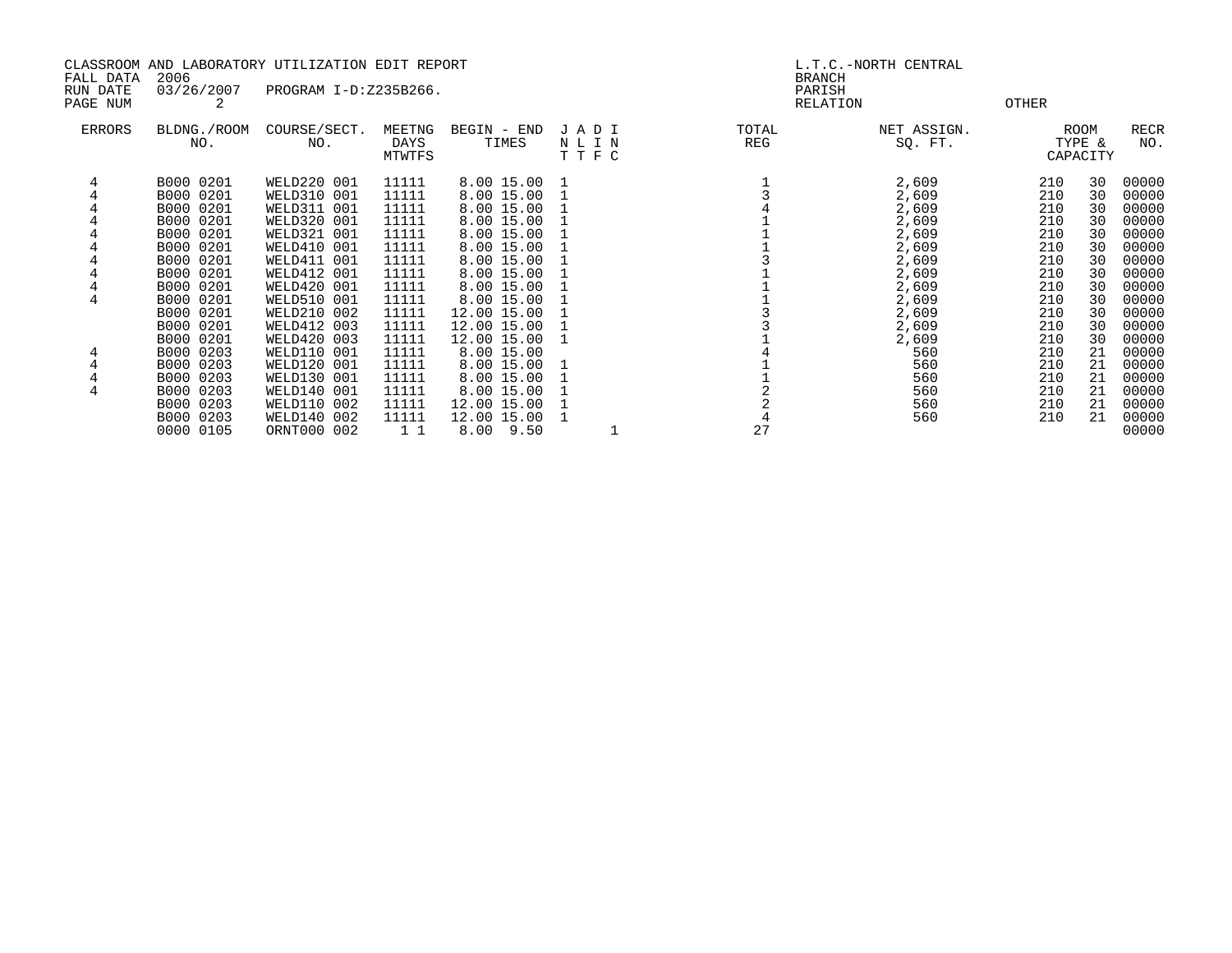|                       | 2006        | CLASSROOM AND LABORATORY UTILIZATION EDIT REPORT |        |               |         |       | L.T.C.-NORTH CENTRAL    |       |          |       |
|-----------------------|-------------|--------------------------------------------------|--------|---------------|---------|-------|-------------------------|-------|----------|-------|
| FALL DATA<br>RUN DATE | 03/26/2007  | PROGRAM I-D:Z235B266.                            |        |               |         |       | <b>BRANCH</b><br>PARISH |       |          |       |
| PAGE NUM              | 2           |                                                  |        |               |         |       | RELATION                | OTHER |          |       |
|                       |             |                                                  |        |               |         |       |                         |       |          |       |
| ERRORS                | BLDNG./ROOM | COURSE/SECT.                                     | MEETNG | BEGIN - END   | JADI    | TOTAL | NET ASSIGN.             |       | ROOM     | RECR  |
|                       | NO.         | NO.                                              | DAYS   | TIMES         | NLIN    | REG   | SQ. FT.                 |       | TYPE &   | NO.   |
|                       |             |                                                  | MTWTFS |               | T T F C |       |                         |       | CAPACITY |       |
|                       | B000 0201   | WELD220 001                                      | 11111  | 8.00 15.00 1  |         |       | 2,609                   | 210   | 30       | 00000 |
|                       | B000 0201   | WELD310 001                                      | 11111  | 8.00 15.00    |         |       | 2,609                   | 210   | 30       | 00000 |
|                       | B000 0201   | WELD311 001                                      | 11111  | 8.00 15.00    |         |       | 2,609                   | 210   | 30       | 00000 |
|                       | B000 0201   | WELD320 001                                      | 11111  | 8.00 15.00    |         |       | 2,609                   | 210   | 30       | 00000 |
|                       | B000 0201   | WELD321 001                                      | 11111  | 8.00 15.00    |         |       | 2,609                   | 210   | 30       | 00000 |
|                       | B000 0201   | WELD410 001                                      | 11111  | 8.00 15.00    |         |       | 2,609                   | 210   | 30       | 00000 |
|                       | B000 0201   | WELD411 001                                      | 11111  | 8.00 15.00    |         |       | 2,609                   | 210   | 30       | 00000 |
|                       | B000 0201   | WELD412 001                                      | 11111  | 8.00 15.00    |         |       | 2,609                   | 210   | 30       | 00000 |
| 4                     | B000 0201   | WELD420 001                                      | 11111  | 8.00 15.00    |         |       | 2,609                   | 210   | 30       | 00000 |
| 4                     | B000 0201   | <b>WELD510 001</b>                               | 11111  | 8.00 15.00    |         |       | 2,609                   | 210   | 30       | 00000 |
|                       | B000 0201   | WELD210 002                                      | 11111  | 12.00 15.00   |         |       | 2,609                   | 210   | 30       | 00000 |
|                       | B000 0201   | WELD412 003                                      | 11111  | 12.00 15.00   |         |       | 2,609                   | 210   | 30       | 00000 |
|                       | B000 0201   | WELD420 003                                      | 11111  | 12.00 15.00   |         |       | 2,609                   | 210   | 30       | 00000 |
|                       | B000 0203   | <b>WELD110 001</b>                               | 11111  | 8.00 15.00    |         |       | 560                     | 210   | 21       | 00000 |
|                       | B000 0203   | WELD120 001                                      | 11111  | 8.00 15.00    |         |       | 560                     | 210   | 21       | 00000 |
|                       | B000 0203   | WELD130 001                                      | 11111  | 8.00 15.00    |         |       | 560                     | 210   | 21       | 00000 |
| 4                     | B000 0203   | WELD140 001                                      | 11111  | 8.00 15.00    |         |       | 560                     | 210   | 21       | 00000 |
|                       | B000 0203   | WELD110 002                                      | 11111  | 12.00 15.00   |         |       | 560                     | 210   | 21       | 00000 |
|                       | B000 0203   | WELD140 002                                      | 11111  | 12.00 15.00   |         |       | 560                     | 210   | 21       | 00000 |
|                       | 0000 0105   | ORNT000 002                                      | 1 1    | $8.00$ $9.50$ |         | 27    |                         |       |          | 00000 |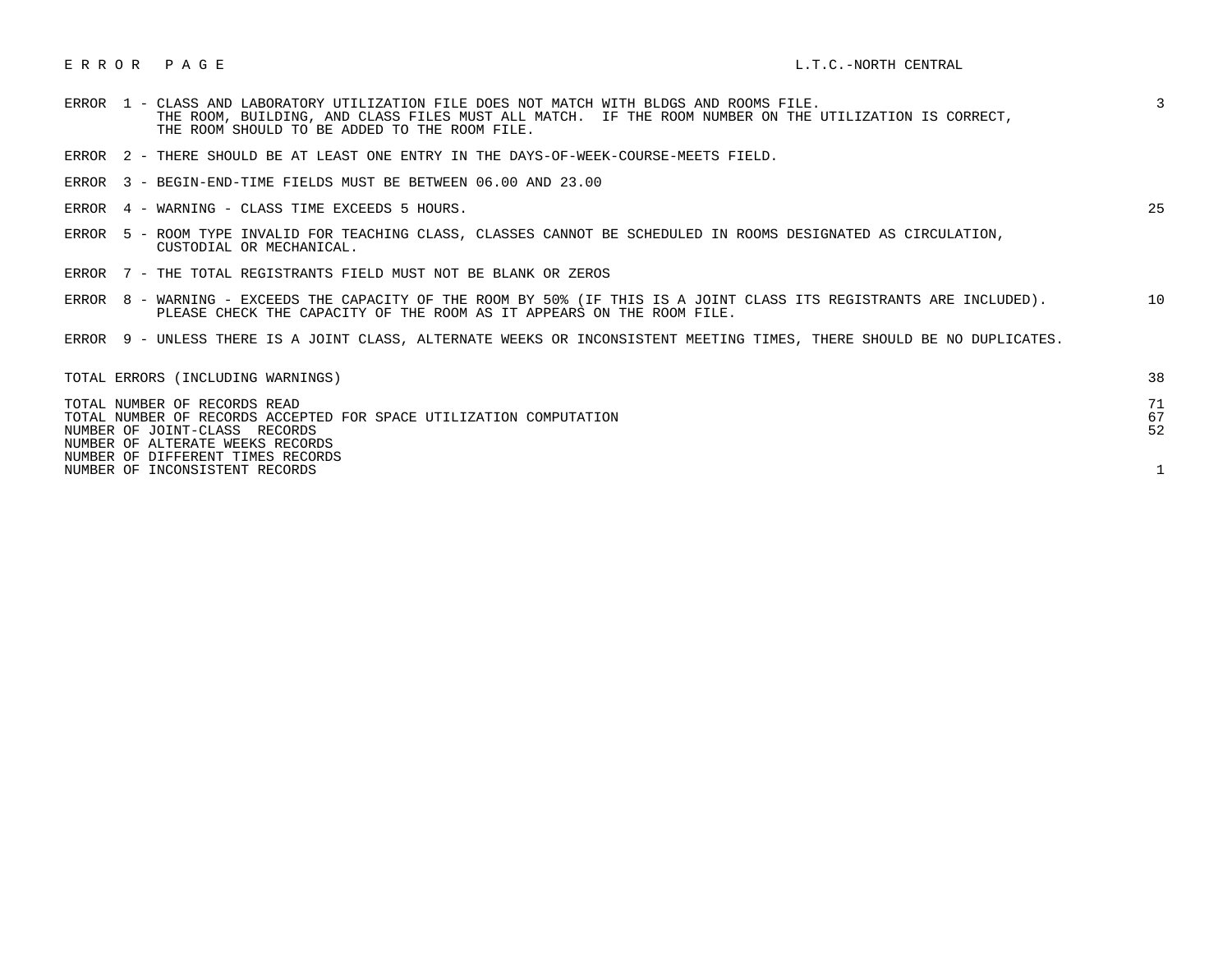| <b>ERROR</b> | 1 - CLASS AND LABORATORY UTILIZATION FILE DOES NOT MATCH WITH BLDGS AND ROOMS FILE.<br>THE ROOM, BUILDING, AND CLASS FILES MUST ALL MATCH. IF THE ROOM NUMBER ON THE UTILIZATION IS CORRECT,<br>THE ROOM SHOULD TO BE ADDED TO THE ROOM FILE. | $\overline{3}$ |
|--------------|-----------------------------------------------------------------------------------------------------------------------------------------------------------------------------------------------------------------------------------------------|----------------|
| ERROR        | 2 - THERE SHOULD BE AT LEAST ONE ENTRY IN THE DAYS-OF-WEEK-COURSE-MEETS FIELD.                                                                                                                                                                |                |
|              | ERROR 3 - BEGIN-END-TIME FIELDS MUST BE BETWEEN 06.00 AND 23.00                                                                                                                                                                               |                |
|              | ERROR 4 - WARNING - CLASS TIME EXCEEDS 5 HOURS.                                                                                                                                                                                               | 25             |
| ERROR        | 5 - ROOM TYPE INVALID FOR TEACHING CLASS, CLASSES CANNOT BE SCHEDULED IN ROOMS DESIGNATED AS CIRCULATION,<br>CUSTODIAL OR MECHANICAL.                                                                                                         |                |
|              | ERROR 7 - THE TOTAL REGISTRANTS FIELD MUST NOT BE BLANK OR ZEROS                                                                                                                                                                              |                |
|              | ERROR 8 - WARNING - EXCEEDS THE CAPACITY OF THE ROOM BY 50% (IF THIS IS A JOINT CLASS ITS REGISTRANTS ARE INCLUDED).<br>PLEASE CHECK THE CAPACITY OF THE ROOM AS IT APPEARS ON THE ROOM FILE.                                                 | 10             |
|              | ERROR 9 - UNLESS THERE IS A JOINT CLASS, ALTERNATE WEEKS OR INCONSISTENT MEETING TIMES, THERE SHOULD BE NO DUPLICATES.                                                                                                                        |                |
|              | TOTAL ERRORS (INCLUDING WARNINGS)                                                                                                                                                                                                             | 38             |
|              | TOTAL NUMBER OF RECORDS READ<br>TOTAL NUMBER OF RECORDS ACCEPTED FOR SPACE UTILIZATION COMPUTATION<br>NUMBER OF JOINT-CLASS RECORDS                                                                                                           | 71<br>67<br>52 |

NUMBER OF ALTERATE WEEKS RECORDS

NUMBER OF DIFFERENT TIMES RECORDS

NUMBER OF INCONSISTENT RECORDS 1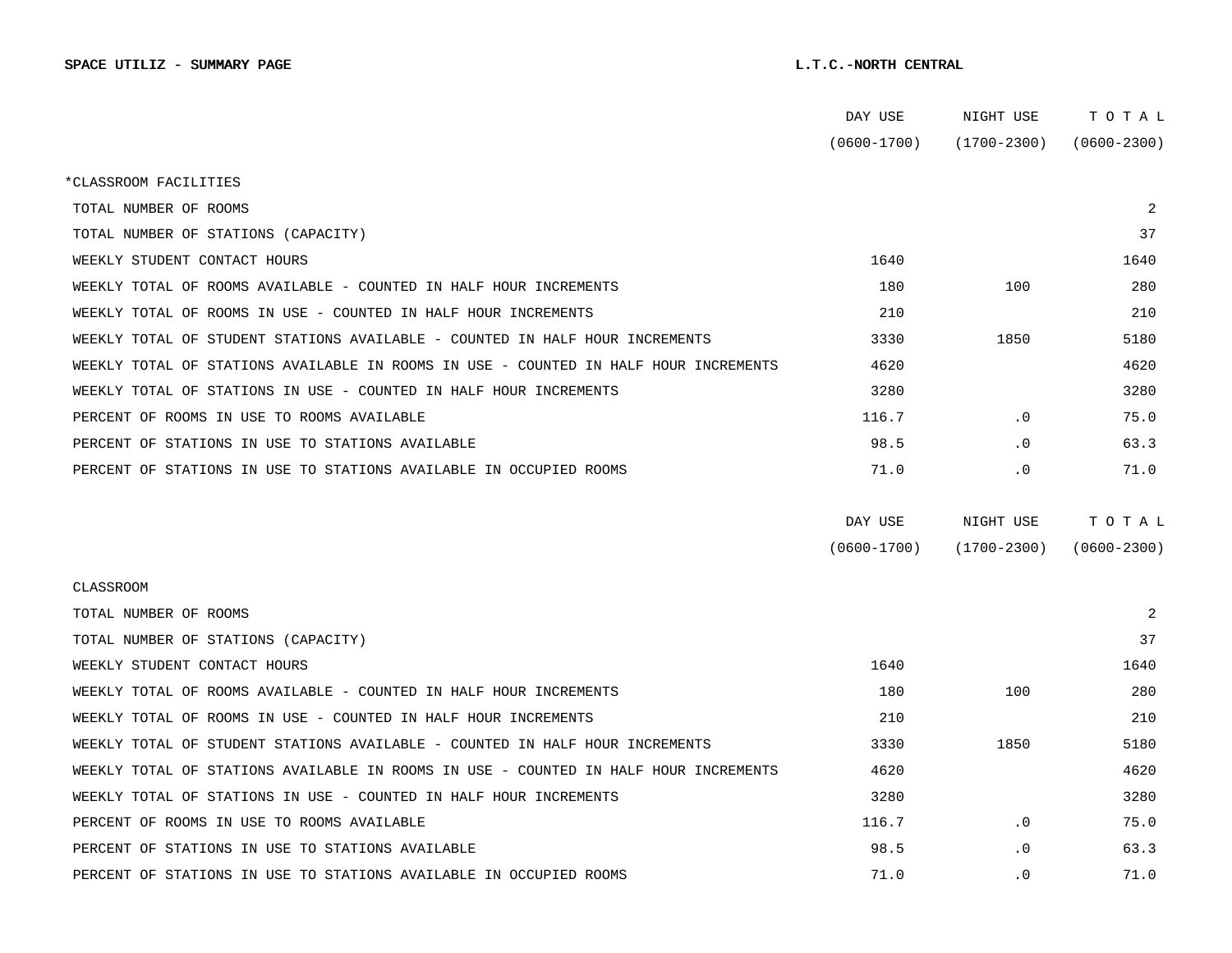|                                                                                      | DAY USE         | NIGHT USE       | тотаь                       |
|--------------------------------------------------------------------------------------|-----------------|-----------------|-----------------------------|
|                                                                                      | $(0600 - 1700)$ |                 | $(1700-2300)$ $(0600-2300)$ |
| *CLASSROOM FACILITIES                                                                |                 |                 |                             |
| TOTAL NUMBER OF ROOMS                                                                |                 |                 | 2                           |
| TOTAL NUMBER OF STATIONS (CAPACITY)                                                  |                 |                 | 37                          |
| WEEKLY STUDENT CONTACT HOURS                                                         | 1640            |                 | 1640                        |
| WEEKLY TOTAL OF ROOMS AVAILABLE - COUNTED IN HALF HOUR INCREMENTS                    | 180             | 100             | 280                         |
| WEEKLY TOTAL OF ROOMS IN USE - COUNTED IN HALF HOUR INCREMENTS                       | 210             |                 | 210                         |
| WEEKLY TOTAL OF STUDENT STATIONS AVAILABLE - COUNTED IN HALF HOUR INCREMENTS         | 3330            | 1850            | 5180                        |
| WEEKLY TOTAL OF STATIONS AVAILABLE IN ROOMS IN USE - COUNTED IN HALF HOUR INCREMENTS | 4620            |                 | 4620                        |
| WEEKLY TOTAL OF STATIONS IN USE - COUNTED IN HALF HOUR INCREMENTS                    | 3280            |                 | 3280                        |
| PERCENT OF ROOMS IN USE TO ROOMS AVAILABLE                                           | 116.7           | $\cdot$ 0       | 75.0                        |
| PERCENT OF STATIONS IN USE TO STATIONS AVAILABLE                                     | 98.5            | $\cdot$ 0       | 63.3                        |
| PERCENT OF STATIONS IN USE TO STATIONS AVAILABLE IN OCCUPIED ROOMS                   | 71.0            | $\cdot$ 0       | 71.0                        |
|                                                                                      |                 |                 |                             |
|                                                                                      | DAY USE         | NIGHT USE       | TOTAL                       |
|                                                                                      | $(0600 - 1700)$ | $(1700 - 2300)$ | $(0600 - 2300)$             |
| CLASSROOM                                                                            |                 |                 |                             |
| TOTAL NUMBER OF ROOMS                                                                |                 |                 | 2                           |
| TOTAL NUMBER OF STATIONS (CAPACITY)                                                  |                 |                 | 37                          |
| WEEKLY STUDENT CONTACT HOURS                                                         | 1640            |                 | 1640                        |
| WEEKLY TOTAL OF ROOMS AVAILABLE - COUNTED IN HALF HOUR INCREMENTS                    | 180             | 100             | 280                         |
| WEEKLY TOTAL OF ROOMS IN USE - COUNTED IN HALF HOUR INCREMENTS                       | 210             |                 | 210                         |
| WEEKLY TOTAL OF STUDENT STATIONS AVAILABLE - COUNTED IN HALF HOUR INCREMENTS         | 3330            | 1850            | 5180                        |
| WEEKLY TOTAL OF STATIONS AVAILABLE IN ROOMS IN USE - COUNTED IN HALF HOUR INCREMENTS | 4620            |                 | 4620                        |
| WEEKLY TOTAL OF STATIONS IN USE - COUNTED IN HALF HOUR INCREMENTS                    | 3280            |                 | 3280                        |
| PERCENT OF ROOMS IN USE TO ROOMS AVAILABLE                                           | 116.7           | $\cdot$ 0       | 75.0                        |
| PERCENT OF STATIONS IN USE TO STATIONS AVAILABLE                                     | 98.5            | $\cdot$ 0       | 63.3                        |
| PERCENT OF STATIONS IN USE TO STATIONS AVAILABLE IN OCCUPIED ROOMS                   | 71.0            | $\cdot$ 0       | 71.0                        |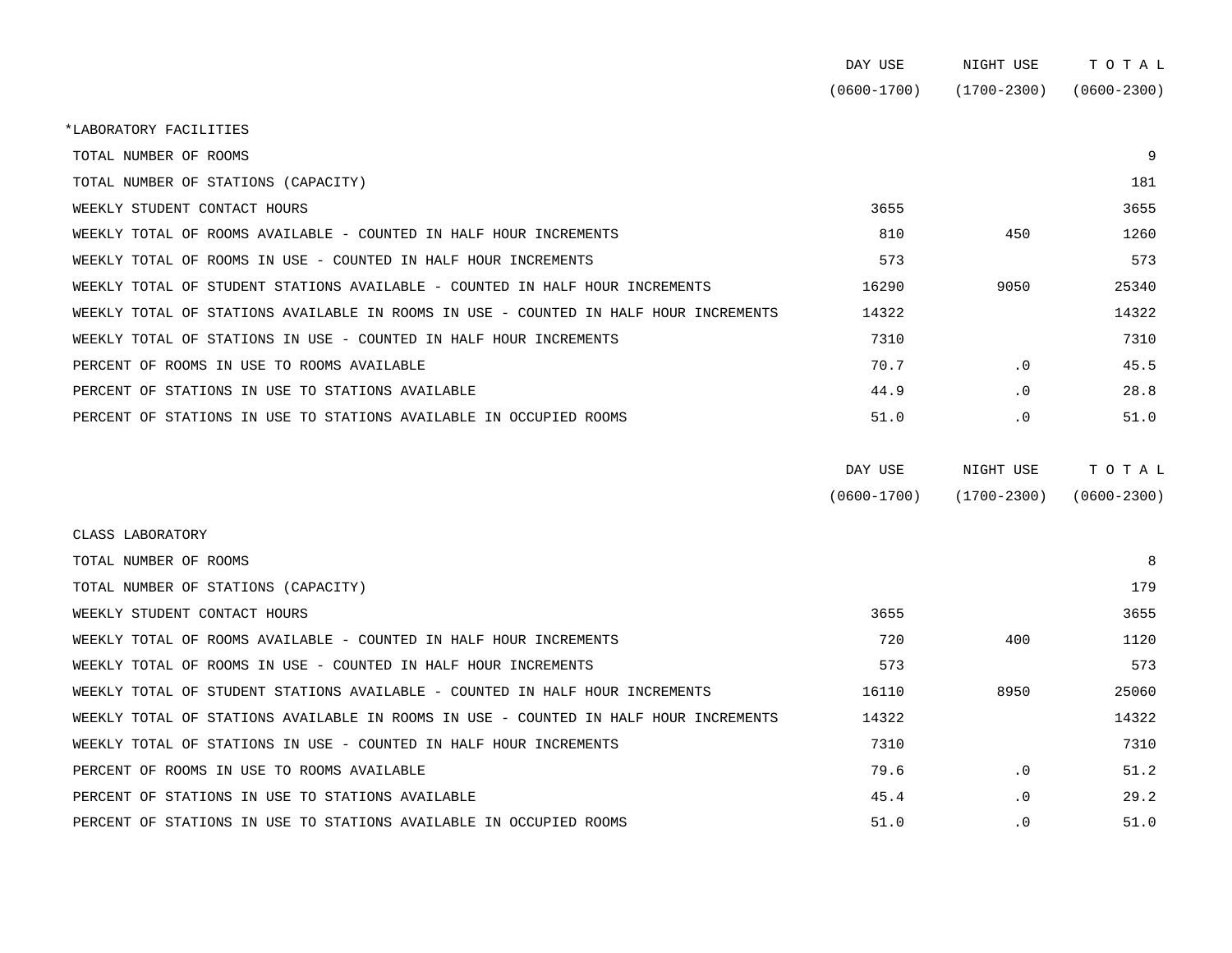|                                                                                      | DAY USE         | NIGHT USE   | TOTAL           |
|--------------------------------------------------------------------------------------|-----------------|-------------|-----------------|
|                                                                                      | $(0600 - 1700)$ | (1700-2300) | $(0600 - 2300)$ |
| *LABORATORY FACILITIES                                                               |                 |             |                 |
| TOTAL NUMBER OF ROOMS                                                                |                 |             | 9               |
| TOTAL NUMBER OF STATIONS (CAPACITY)                                                  |                 |             | 181             |
| WEEKLY STUDENT CONTACT HOURS                                                         | 3655            |             | 3655            |
| WEEKLY TOTAL OF ROOMS AVAILABLE - COUNTED IN HALF HOUR INCREMENTS                    | 810             | 450         | 1260            |
| WEEKLY TOTAL OF ROOMS IN USE - COUNTED IN HALF HOUR INCREMENTS                       | 573             |             | 573             |
| WEEKLY TOTAL OF STUDENT STATIONS AVAILABLE - COUNTED IN HALF HOUR INCREMENTS         | 16290           | 9050        | 25340           |
| WEEKLY TOTAL OF STATIONS AVAILABLE IN ROOMS IN USE - COUNTED IN HALF HOUR INCREMENTS | 14322           |             | 14322           |
| WEEKLY TOTAL OF STATIONS IN USE - COUNTED IN HALF HOUR INCREMENTS                    | 7310            |             | 7310            |
| PERCENT OF ROOMS IN USE TO ROOMS AVAILABLE                                           | 70.7            | $\cdot$ 0   | 45.5            |
| PERCENT OF STATIONS IN USE TO STATIONS AVAILABLE                                     | 44.9            | $\cdot$ 0   | 28.8            |
| PERCENT OF STATIONS IN USE TO STATIONS AVAILABLE IN OCCUPIED ROOMS                   | 51.0            | $\cdot$ 0   | 51.0            |
|                                                                                      |                 |             |                 |

| DAY USE         | NIGHT USE       | тотаь           |
|-----------------|-----------------|-----------------|
| $(0600 - 1700)$ | $(1700 - 2300)$ | $(0600 - 2300)$ |

| CLASS LABORATORY                                                                     |       |           |       |
|--------------------------------------------------------------------------------------|-------|-----------|-------|
| TOTAL NUMBER OF ROOMS                                                                |       |           | 8     |
| TOTAL NUMBER OF STATIONS (CAPACITY)                                                  |       |           | 179   |
| WEEKLY STUDENT CONTACT HOURS                                                         | 3655  |           | 3655  |
| WEEKLY TOTAL OF ROOMS AVAILABLE - COUNTED IN HALF HOUR INCREMENTS                    | 720   | 400       | 1120  |
| WEEKLY TOTAL OF ROOMS IN USE - COUNTED IN HALF HOUR INCREMENTS                       | 573   |           | 573   |
| WEEKLY TOTAL OF STUDENT STATIONS AVAILABLE - COUNTED IN HALF HOUR INCREMENTS         | 16110 | 8950      | 25060 |
| WEEKLY TOTAL OF STATIONS AVAILABLE IN ROOMS IN USE - COUNTED IN HALF HOUR INCREMENTS | 14322 |           | 14322 |
| WEEKLY TOTAL OF STATIONS IN USE - COUNTED IN HALF HOUR INCREMENTS                    | 7310  |           | 7310  |
| PERCENT OF ROOMS IN USE TO ROOMS AVAILABLE                                           | 79.6  | $\cdot$ 0 | 51.2  |
| PERCENT OF STATIONS IN USE TO STATIONS AVAILABLE                                     | 45.4  | $\cdot$ 0 | 29.2  |
| PERCENT OF STATIONS IN USE TO STATIONS AVAILABLE IN OCCUPIED ROOMS                   | 51.0  | $\cdot$ 0 | 51.0  |